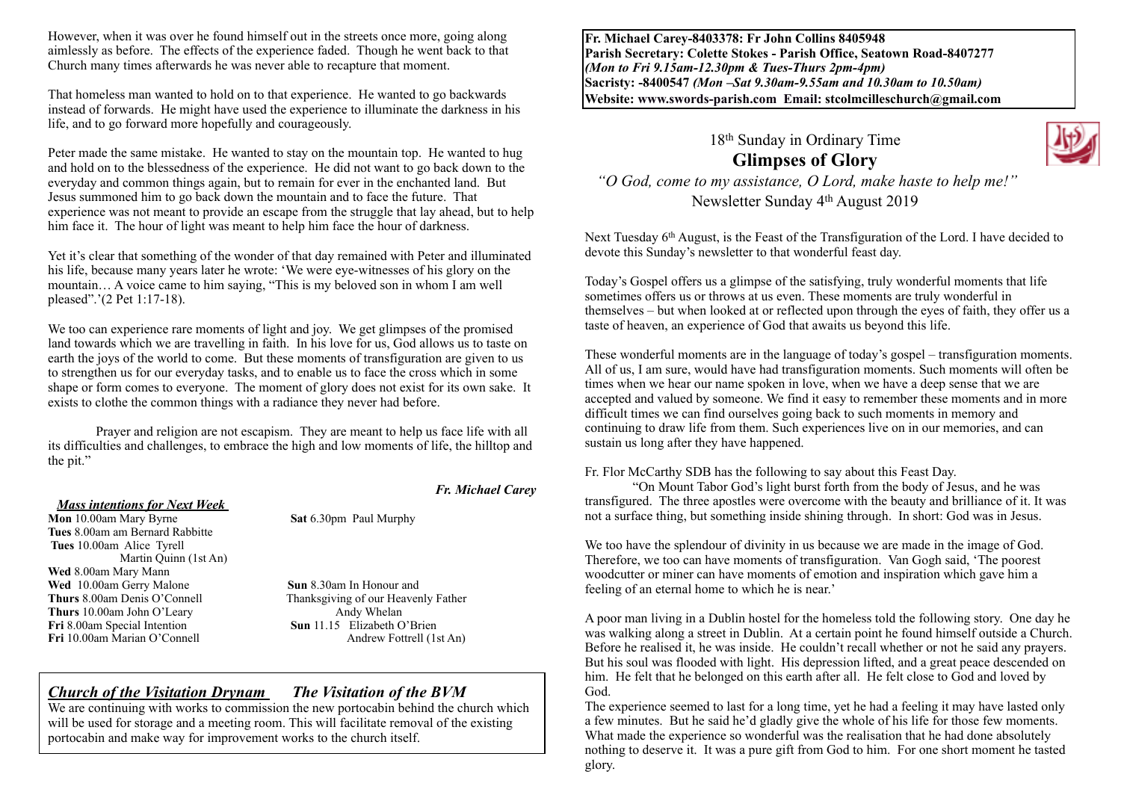However, when it was over he found himself out in the streets once more, going along aimlessly as before. The effects of the experience faded. Though he went back to that Church many times afterwards he was never able to recapture that moment.

That homeless man wanted to hold on to that experience. He wanted to go backwards instead of forwards. He might have used the experience to illuminate the darkness in his life, and to go forward more hopefully and courageously.

Peter made the same mistake. He wanted to stay on the mountain top. He wanted to hug and hold on to the blessedness of the experience. He did not want to go back down to the everyday and common things again, but to remain for ever in the enchanted land. But Jesus summoned him to go back down the mountain and to face the future. That experience was not meant to provide an escape from the struggle that lay ahead, but to help him face it. The hour of light was meant to help him face the hour of darkness.

Yet it's clear that something of the wonder of that day remained with Peter and illuminated his life, because many years later he wrote: 'We were eye-witnesses of his glory on the mountain… A voice came to him saying, "This is my beloved son in whom I am well pleased".'(2 Pet 1:17-18).

We too can experience rare moments of light and joy. We get glimpses of the promised land towards which we are travelling in faith. In his love for us, God allows us to taste on earth the joys of the world to come. But these moments of transfiguration are given to us to strengthen us for our everyday tasks, and to enable us to face the cross which in some shape or form comes to everyone. The moment of glory does not exist for its own sake. It exists to clothe the common things with a radiance they never had before.

Prayer and religion are not escapism. They are meant to help us face life with all its difficulties and challenges, to embrace the high and low moments of life, the hilltop and the pit."

#### *Mass intentions for Next Week*

**Mon** 10.00am Mary Byrne **Sat** 6.30pm Paul Murphy **Tues** 8.00am am Bernard Rabbitte  **Tues** 10.00am Alice Tyrell Martin Quinn (1st An) **Wed** 8.00am Mary Mann **Wed** 10.00am Gerry Malone **Sun** 8.30am In Honour and **Thurs** 10.00am John O'Leary Andy Whelan **Fri** 8.00am Special Intention<br>
Sun 11.15 Elizabeth O'Brien **Fri** 10.00am Marian O'Connell Andrew Fottrell (1st An)

# *Fr. Michael Carey*

**Thurs** 8.00am Denis O'Connell Thanksgiving of our Heavenly Father

### *Church of the Visitation Drynam**The Visitation of the BVM*

We are continuing with works to commission the new portocabin behind the church which will be used for storage and a meeting room. This will facilitate removal of the existing portocabin and make way for improvement works to the church itself.

**Fr. Michael Carey-8403378: Fr John Collins 8405948 Parish Secretary: Colette Stokes - Parish Office, Seatown Road-8407277**  *(Mon to Fri 9.15am-12.30pm & Tues-Thurs 2pm-4pm)*  **Sacristy: -8400547** *(Mon –Sat 9.30am-9.55am and 10.30am to 10.50am)* **Website: [www.swords-parish.com Email:](http://www.swords-parish.com%20%20email) stcolmcilleschurch@gmail.com**

## 18th Sunday in Ordinary Time **Glimpses of Glory**



 *"O God, come to my assistance, O Lord, make haste to help me!"*  Newsletter Sunday 4th August 2019

Next Tuesday 6<sup>th</sup> August, is the Feast of the Transfiguration of the Lord. I have decided to devote this Sunday's newsletter to that wonderful feast day.

Today's Gospel offers us a glimpse of the satisfying, truly wonderful moments that life sometimes offers us or throws at us even. These moments are truly wonderful in themselves – but when looked at or reflected upon through the eyes of faith, they offer us a taste of heaven, an experience of God that awaits us beyond this life.

These wonderful moments are in the language of today's gospel – transfiguration moments. All of us, I am sure, would have had transfiguration moments. Such moments will often be times when we hear our name spoken in love, when we have a deep sense that we are accepted and valued by someone. We find it easy to remember these moments and in more difficult times we can find ourselves going back to such moments in memory and continuing to draw life from them. Such experiences live on in our memories, and can sustain us long after they have happened.

Fr. Flor McCarthy SDB has the following to say about this Feast Day.

"On Mount Tabor God's light burst forth from the body of Jesus, and he was transfigured. The three apostles were overcome with the beauty and brilliance of it. It was not a surface thing, but something inside shining through. In short: God was in Jesus.

We too have the splendour of divinity in us because we are made in the image of God. Therefore, we too can have moments of transfiguration. Van Gogh said, 'The poorest woodcutter or miner can have moments of emotion and inspiration which gave him a feeling of an eternal home to which he is near.'

A poor man living in a Dublin hostel for the homeless told the following story. One day he was walking along a street in Dublin. At a certain point he found himself outside a Church. Before he realised it, he was inside. He couldn't recall whether or not he said any prayers. But his soul was flooded with light. His depression lifted, and a great peace descended on him. He felt that he belonged on this earth after all. He felt close to God and loved by God.

The experience seemed to last for a long time, yet he had a feeling it may have lasted only a few minutes. But he said he'd gladly give the whole of his life for those few moments. What made the experience so wonderful was the realisation that he had done absolutely nothing to deserve it. It was a pure gift from God to him. For one short moment he tasted glory.